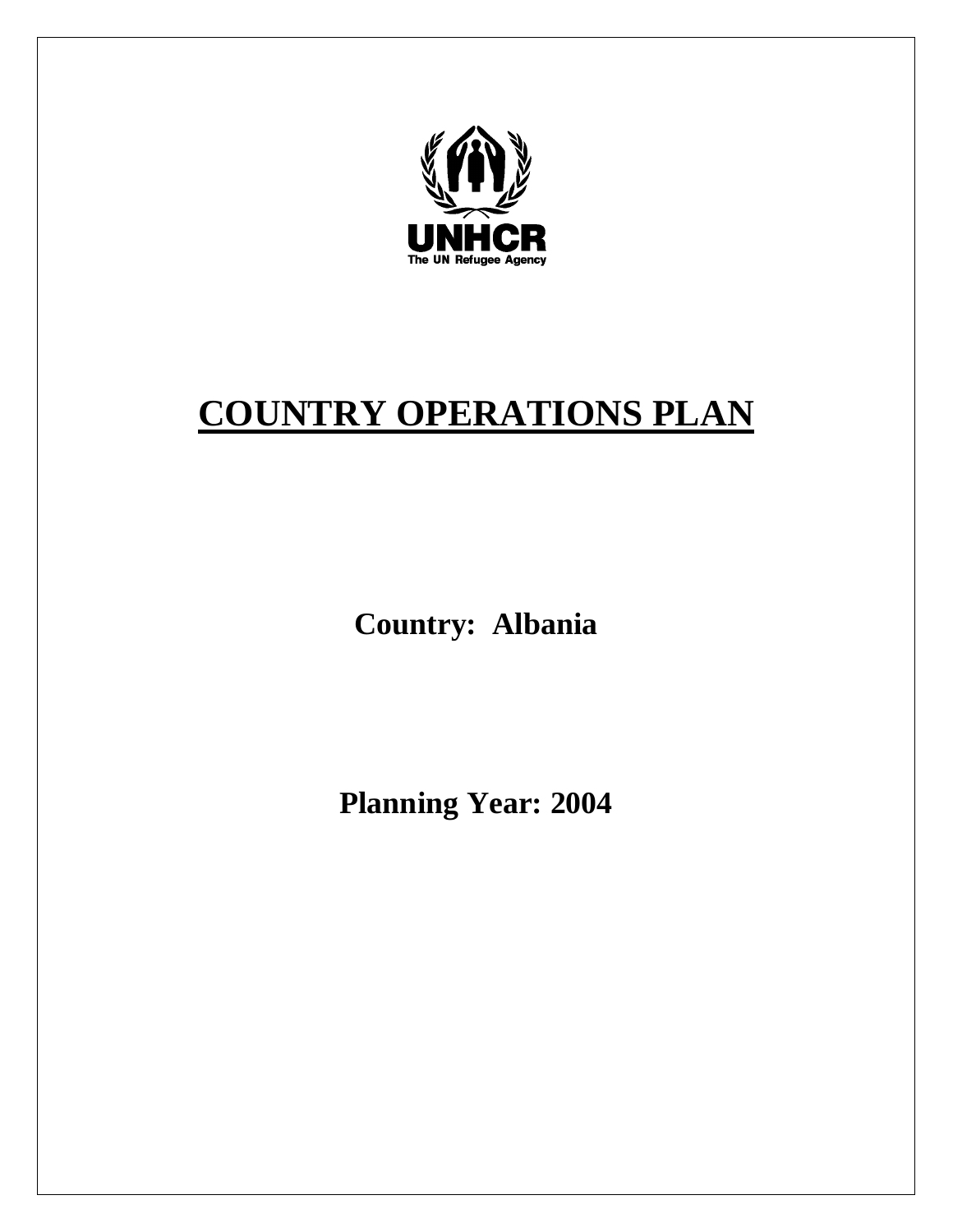

# **COUNTRY OPERATIONS PLAN**

**Country: Albania** 

**Planning Year: 2004**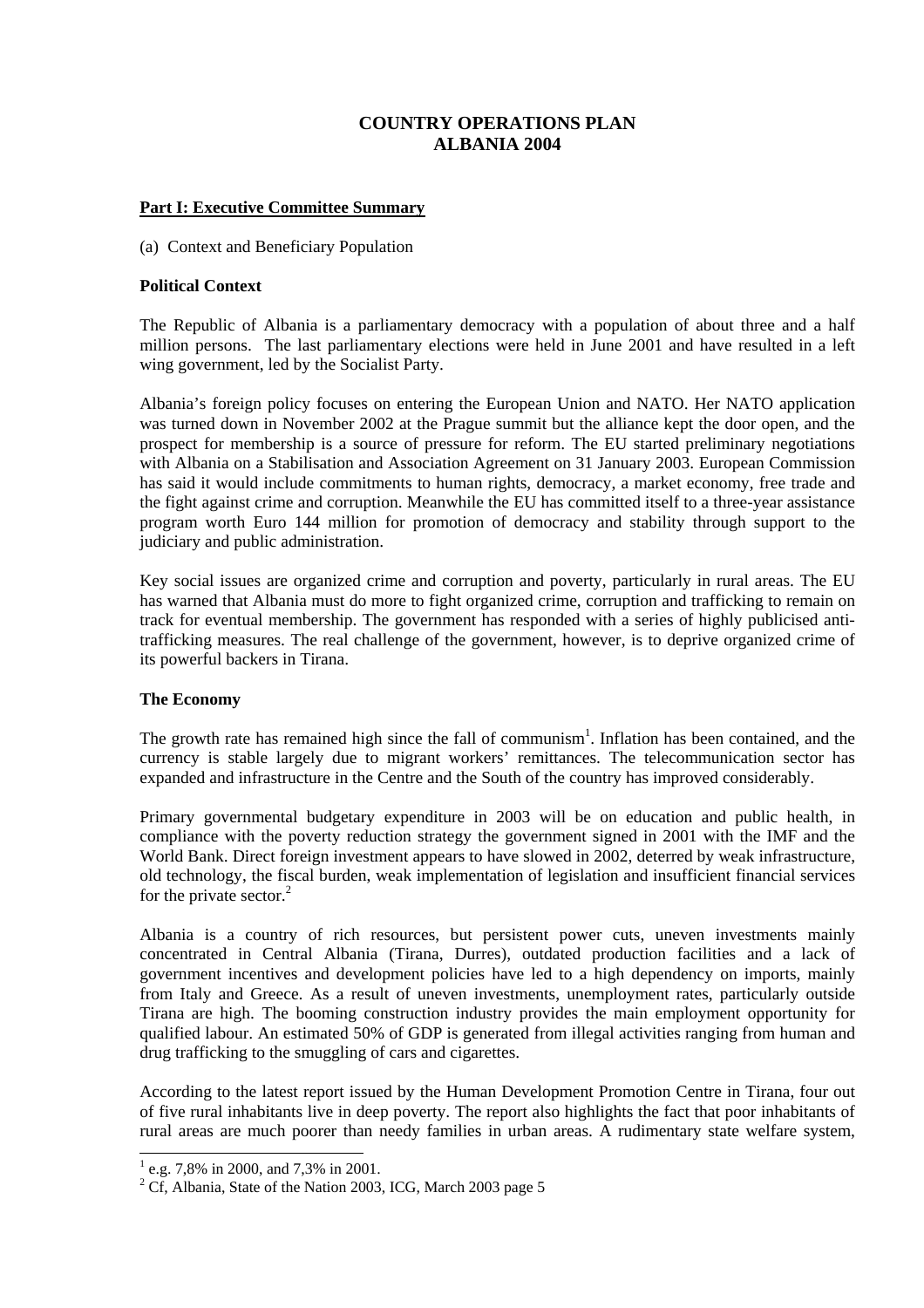# **COUNTRY OPERATIONS PLAN ALBANIA 2004**

# **Part I: Executive Committee Summary**

(a) Context and Beneficiary Population

#### **Political Context**

The Republic of Albania is a parliamentary democracy with a population of about three and a half million persons. The last parliamentary elections were held in June 2001 and have resulted in a left wing government, led by the Socialist Party.

Albania's foreign policy focuses on entering the European Union and NATO. Her NATO application was turned down in November 2002 at the Prague summit but the alliance kept the door open, and the prospect for membership is a source of pressure for reform. The EU started preliminary negotiations with Albania on a Stabilisation and Association Agreement on 31 January 2003. European Commission has said it would include commitments to human rights, democracy, a market economy, free trade and the fight against crime and corruption. Meanwhile the EU has committed itself to a three-year assistance program worth Euro 144 million for promotion of democracy and stability through support to the judiciary and public administration.

Key social issues are organized crime and corruption and poverty, particularly in rural areas. The EU has warned that Albania must do more to fight organized crime, corruption and trafficking to remain on track for eventual membership. The government has responded with a series of highly publicised antitrafficking measures. The real challenge of the government, however, is to deprive organized crime of its powerful backers in Tirana.

# **The Economy**

The growth rate has remained high since the fall of communism<sup>1</sup>. Inflation has been contained, and the currency is stable largely due to migrant workers' remittances. The telecommunication sector has expanded and infrastructure in the Centre and the South of the country has improved considerably.

Primary governmental budgetary expenditure in 2003 will be on education and public health, in compliance with the poverty reduction strategy the government signed in 2001 with the IMF and the World Bank. Direct foreign investment appears to have slowed in 2002, deterred by weak infrastructure, old technology, the fiscal burden, weak implementation of legislation and insufficient financial services for the private sector. $^{2}$ 

Albania is a country of rich resources, but persistent power cuts, uneven investments mainly concentrated in Central Albania (Tirana, Durres), outdated production facilities and a lack of government incentives and development policies have led to a high dependency on imports, mainly from Italy and Greece. As a result of uneven investments, unemployment rates, particularly outside Tirana are high. The booming construction industry provides the main employment opportunity for qualified labour. An estimated 50% of GDP is generated from illegal activities ranging from human and drug trafficking to the smuggling of cars and cigarettes.

According to the latest report issued by the Human Development Promotion Centre in Tirana, four out of five rural inhabitants live in deep poverty. The report also highlights the fact that poor inhabitants of rural areas are much poorer than needy families in urban areas. A rudimentary state welfare system,

<sup>&</sup>lt;sup>1</sup> e.g. 7,8% in 2000, and 7,3% in 2001.

<sup>&</sup>lt;sup>2</sup> Cf, Albania, State of the Nation 2003, ICG, March 2003 page 5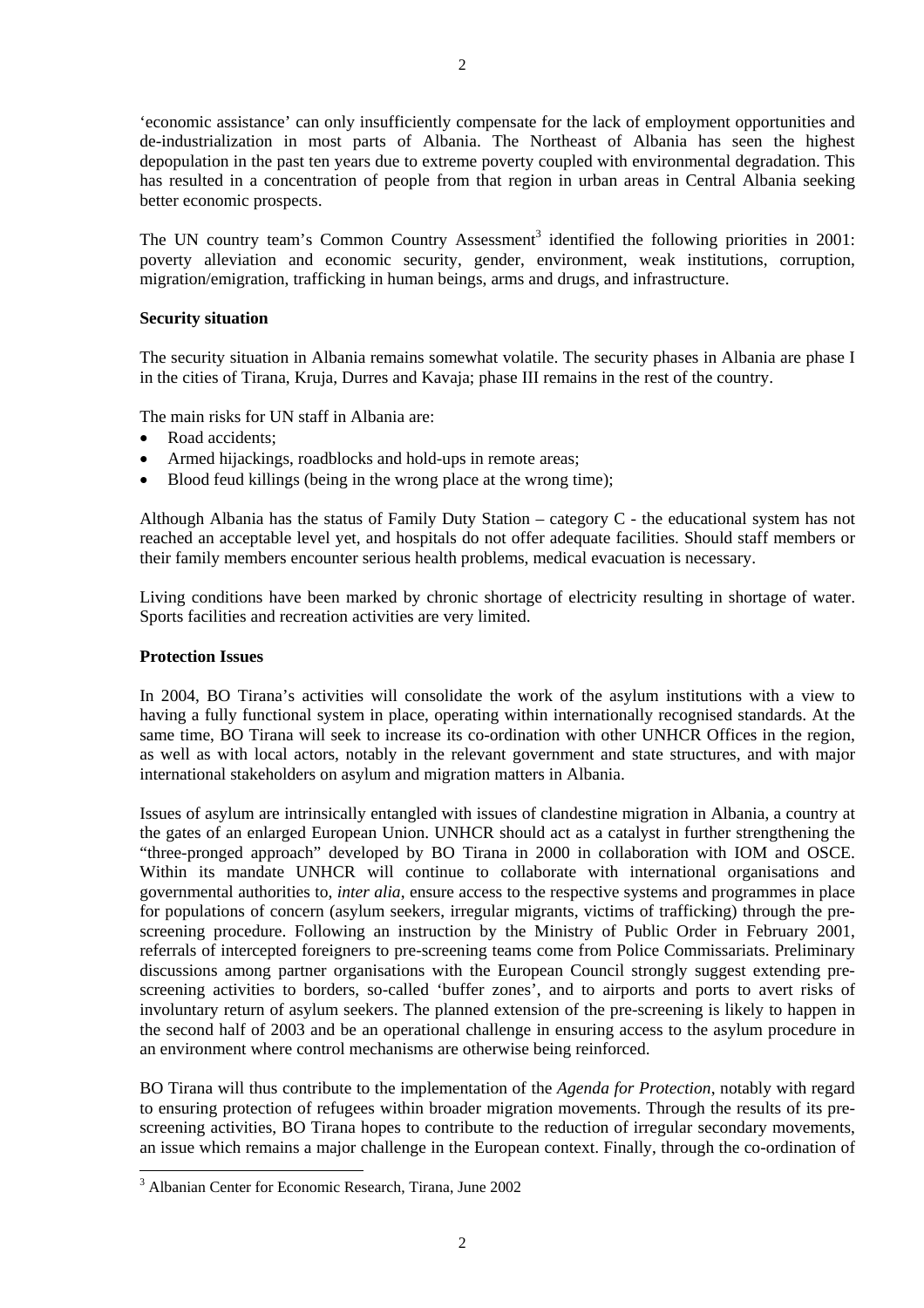'economic assistance' can only insufficiently compensate for the lack of employment opportunities and de-industrialization in most parts of Albania. The Northeast of Albania has seen the highest depopulation in the past ten years due to extreme poverty coupled with environmental degradation. This has resulted in a concentration of people from that region in urban areas in Central Albania seeking better economic prospects.

The UN country team's Common Country Assessment<sup>3</sup> identified the following priorities in 2001: poverty alleviation and economic security, gender, environment, weak institutions, corruption, migration/emigration, trafficking in human beings, arms and drugs, and infrastructure.

#### **Security situation**

The security situation in Albania remains somewhat volatile. The security phases in Albania are phase I in the cities of Tirana, Kruja, Durres and Kavaja; phase III remains in the rest of the country.

The main risks for UN staff in Albania are:

- Road accidents:
- Armed hijackings, roadblocks and hold-ups in remote areas;
- Blood feud killings (being in the wrong place at the wrong time);

Although Albania has the status of Family Duty Station – category C - the educational system has not reached an acceptable level yet, and hospitals do not offer adequate facilities. Should staff members or their family members encounter serious health problems, medical evacuation is necessary.

Living conditions have been marked by chronic shortage of electricity resulting in shortage of water. Sports facilities and recreation activities are very limited.

#### **Protection Issues**

In 2004, BO Tirana's activities will consolidate the work of the asylum institutions with a view to having a fully functional system in place, operating within internationally recognised standards. At the same time, BO Tirana will seek to increase its co-ordination with other UNHCR Offices in the region, as well as with local actors, notably in the relevant government and state structures, and with major international stakeholders on asylum and migration matters in Albania.

Issues of asylum are intrinsically entangled with issues of clandestine migration in Albania, a country at the gates of an enlarged European Union. UNHCR should act as a catalyst in further strengthening the "three-pronged approach" developed by BO Tirana in 2000 in collaboration with IOM and OSCE. Within its mandate UNHCR will continue to collaborate with international organisations and governmental authorities to, *inter alia*, ensure access to the respective systems and programmes in place for populations of concern (asylum seekers, irregular migrants, victims of trafficking) through the prescreening procedure. Following an instruction by the Ministry of Public Order in February 2001, referrals of intercepted foreigners to pre-screening teams come from Police Commissariats. Preliminary discussions among partner organisations with the European Council strongly suggest extending prescreening activities to borders, so-called 'buffer zones', and to airports and ports to avert risks of involuntary return of asylum seekers. The planned extension of the pre-screening is likely to happen in the second half of 2003 and be an operational challenge in ensuring access to the asylum procedure in an environment where control mechanisms are otherwise being reinforced.

BO Tirana will thus contribute to the implementation of the *Agenda for Protection*, notably with regard to ensuring protection of refugees within broader migration movements. Through the results of its prescreening activities, BO Tirana hopes to contribute to the reduction of irregular secondary movements, an issue which remains a major challenge in the European context. Finally, through the co-ordination of

 3 Albanian Center for Economic Research, Tirana, June 2002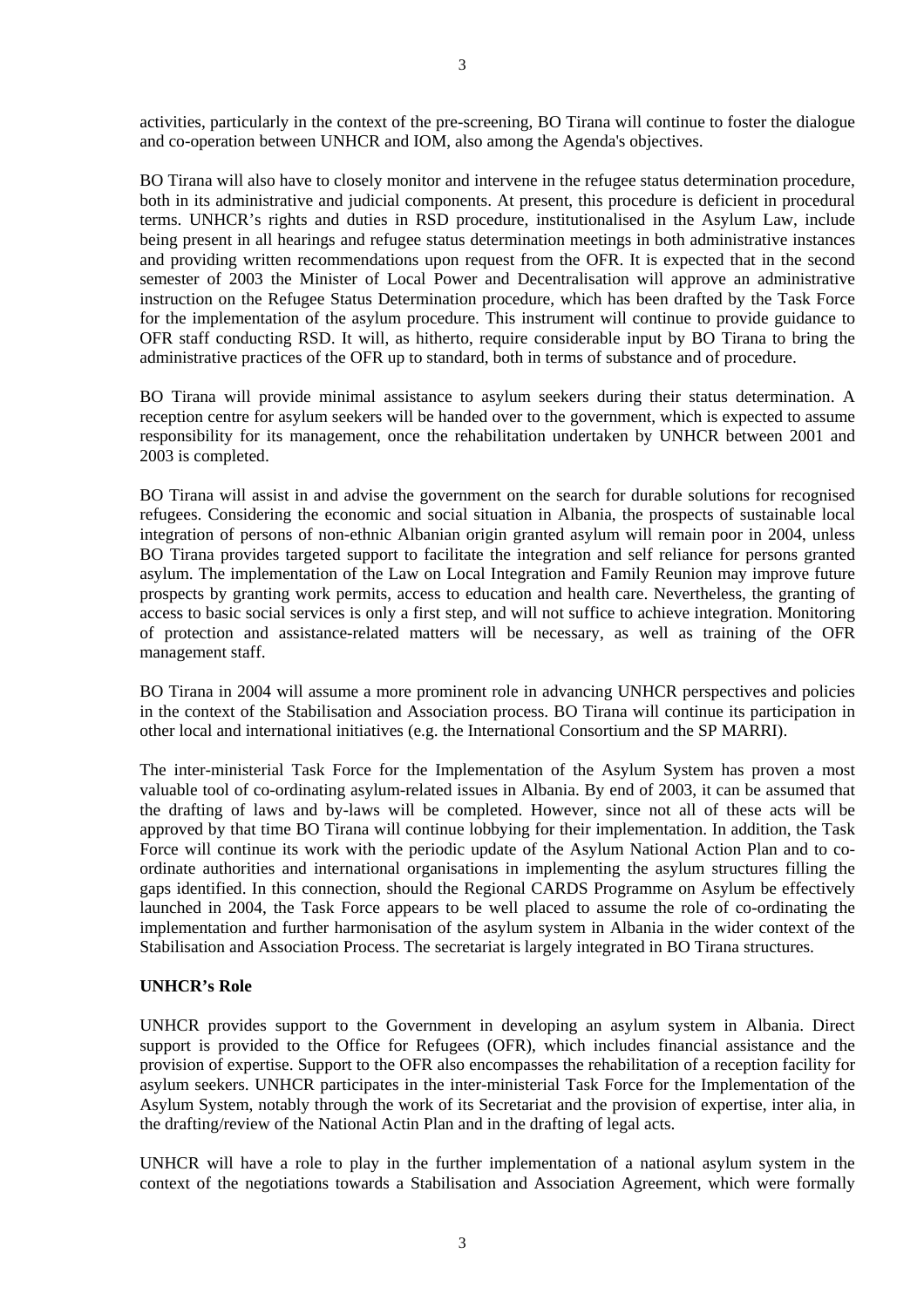activities, particularly in the context of the pre-screening, BO Tirana will continue to foster the dialogue and co-operation between UNHCR and IOM, also among the Agenda's objectives.

BO Tirana will also have to closely monitor and intervene in the refugee status determination procedure, both in its administrative and judicial components. At present, this procedure is deficient in procedural terms. UNHCR's rights and duties in RSD procedure, institutionalised in the Asylum Law, include being present in all hearings and refugee status determination meetings in both administrative instances and providing written recommendations upon request from the OFR. It is expected that in the second semester of 2003 the Minister of Local Power and Decentralisation will approve an administrative instruction on the Refugee Status Determination procedure, which has been drafted by the Task Force for the implementation of the asylum procedure. This instrument will continue to provide guidance to OFR staff conducting RSD. It will, as hitherto, require considerable input by BO Tirana to bring the administrative practices of the OFR up to standard, both in terms of substance and of procedure.

BO Tirana will provide minimal assistance to asylum seekers during their status determination. A reception centre for asylum seekers will be handed over to the government, which is expected to assume responsibility for its management, once the rehabilitation undertaken by UNHCR between 2001 and 2003 is completed.

BO Tirana will assist in and advise the government on the search for durable solutions for recognised refugees. Considering the economic and social situation in Albania, the prospects of sustainable local integration of persons of non-ethnic Albanian origin granted asylum will remain poor in 2004, unless BO Tirana provides targeted support to facilitate the integration and self reliance for persons granted asylum. The implementation of the Law on Local Integration and Family Reunion may improve future prospects by granting work permits, access to education and health care. Nevertheless, the granting of access to basic social services is only a first step, and will not suffice to achieve integration. Monitoring of protection and assistance-related matters will be necessary, as well as training of the OFR management staff.

BO Tirana in 2004 will assume a more prominent role in advancing UNHCR perspectives and policies in the context of the Stabilisation and Association process. BO Tirana will continue its participation in other local and international initiatives (e.g. the International Consortium and the SP MARRI).

The inter-ministerial Task Force for the Implementation of the Asylum System has proven a most valuable tool of co-ordinating asylum-related issues in Albania. By end of 2003, it can be assumed that the drafting of laws and by-laws will be completed. However, since not all of these acts will be approved by that time BO Tirana will continue lobbying for their implementation. In addition, the Task Force will continue its work with the periodic update of the Asylum National Action Plan and to coordinate authorities and international organisations in implementing the asylum structures filling the gaps identified. In this connection, should the Regional CARDS Programme on Asylum be effectively launched in 2004, the Task Force appears to be well placed to assume the role of co-ordinating the implementation and further harmonisation of the asylum system in Albania in the wider context of the Stabilisation and Association Process. The secretariat is largely integrated in BO Tirana structures.

#### **UNHCR's Role**

UNHCR provides support to the Government in developing an asylum system in Albania. Direct support is provided to the Office for Refugees (OFR), which includes financial assistance and the provision of expertise. Support to the OFR also encompasses the rehabilitation of a reception facility for asylum seekers. UNHCR participates in the inter-ministerial Task Force for the Implementation of the Asylum System, notably through the work of its Secretariat and the provision of expertise, inter alia, in the drafting/review of the National Actin Plan and in the drafting of legal acts.

UNHCR will have a role to play in the further implementation of a national asylum system in the context of the negotiations towards a Stabilisation and Association Agreement, which were formally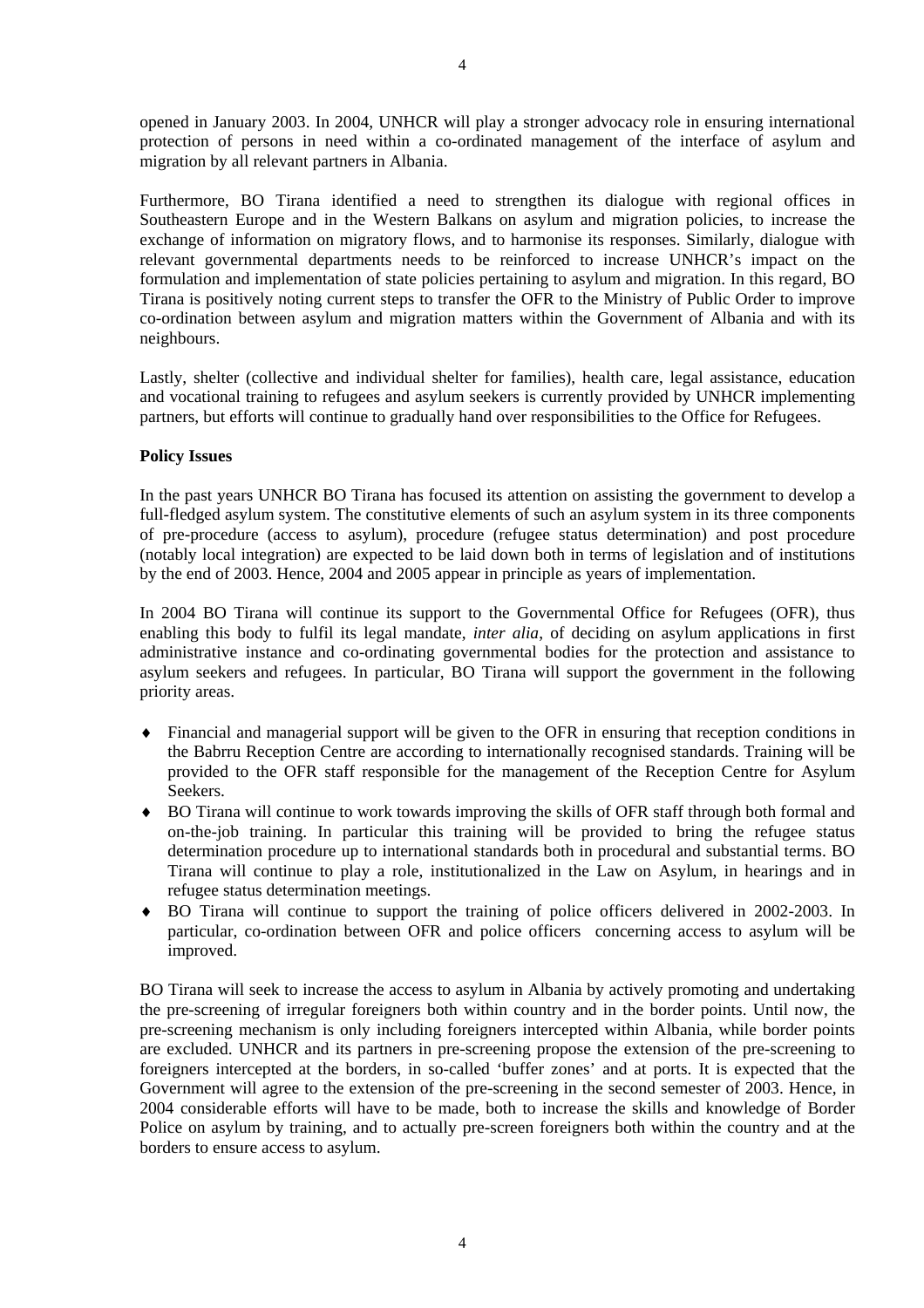opened in January 2003. In 2004, UNHCR will play a stronger advocacy role in ensuring international protection of persons in need within a co-ordinated management of the interface of asylum and migration by all relevant partners in Albania.

Furthermore, BO Tirana identified a need to strengthen its dialogue with regional offices in Southeastern Europe and in the Western Balkans on asylum and migration policies, to increase the exchange of information on migratory flows, and to harmonise its responses. Similarly, dialogue with relevant governmental departments needs to be reinforced to increase UNHCR's impact on the formulation and implementation of state policies pertaining to asylum and migration. In this regard, BO Tirana is positively noting current steps to transfer the OFR to the Ministry of Public Order to improve co-ordination between asylum and migration matters within the Government of Albania and with its neighbours.

Lastly, shelter (collective and individual shelter for families), health care, legal assistance, education and vocational training to refugees and asylum seekers is currently provided by UNHCR implementing partners, but efforts will continue to gradually hand over responsibilities to the Office for Refugees.

# **Policy Issues**

In the past years UNHCR BO Tirana has focused its attention on assisting the government to develop a full-fledged asylum system. The constitutive elements of such an asylum system in its three components of pre-procedure (access to asylum), procedure (refugee status determination) and post procedure (notably local integration) are expected to be laid down both in terms of legislation and of institutions by the end of 2003. Hence, 2004 and 2005 appear in principle as years of implementation.

In 2004 BO Tirana will continue its support to the Governmental Office for Refugees (OFR), thus enabling this body to fulfil its legal mandate, *inter alia*, of deciding on asylum applications in first administrative instance and co-ordinating governmental bodies for the protection and assistance to asylum seekers and refugees. In particular, BO Tirana will support the government in the following priority areas.

- ♦ Financial and managerial support will be given to the OFR in ensuring that reception conditions in the Babrru Reception Centre are according to internationally recognised standards. Training will be provided to the OFR staff responsible for the management of the Reception Centre for Asylum Seekers.
- ♦ BO Tirana will continue to work towards improving the skills of OFR staff through both formal and on-the-job training. In particular this training will be provided to bring the refugee status determination procedure up to international standards both in procedural and substantial terms. BO Tirana will continue to play a role, institutionalized in the Law on Asylum, in hearings and in refugee status determination meetings.
- ♦ BO Tirana will continue to support the training of police officers delivered in 2002-2003. In particular, co-ordination between OFR and police officers concerning access to asylum will be improved.

BO Tirana will seek to increase the access to asylum in Albania by actively promoting and undertaking the pre-screening of irregular foreigners both within country and in the border points. Until now, the pre-screening mechanism is only including foreigners intercepted within Albania, while border points are excluded. UNHCR and its partners in pre-screening propose the extension of the pre-screening to foreigners intercepted at the borders, in so-called 'buffer zones' and at ports. It is expected that the Government will agree to the extension of the pre-screening in the second semester of 2003. Hence, in 2004 considerable efforts will have to be made, both to increase the skills and knowledge of Border Police on asylum by training, and to actually pre-screen foreigners both within the country and at the borders to ensure access to asylum.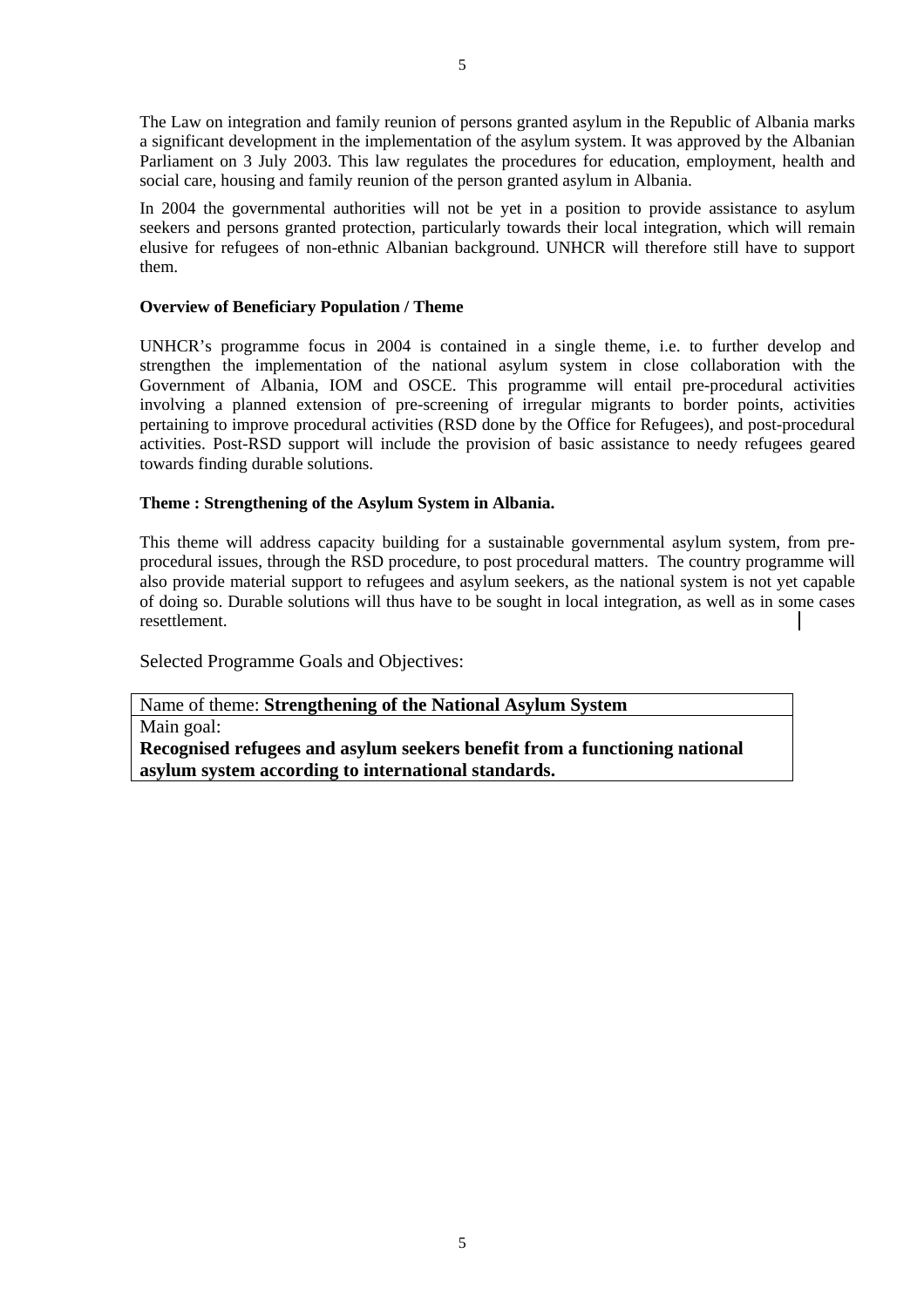The Law on integration and family reunion of persons granted asylum in the Republic of Albania marks a significant development in the implementation of the asylum system. It was approved by the Albanian Parliament on 3 July 2003. This law regulates the procedures for education, employment, health and social care, housing and family reunion of the person granted asylum in Albania.

In 2004 the governmental authorities will not be yet in a position to provide assistance to asylum seekers and persons granted protection, particularly towards their local integration, which will remain elusive for refugees of non-ethnic Albanian background. UNHCR will therefore still have to support them.

#### **Overview of Beneficiary Population / Theme**

UNHCR's programme focus in 2004 is contained in a single theme, i.e. to further develop and strengthen the implementation of the national asylum system in close collaboration with the Government of Albania, IOM and OSCE. This programme will entail pre-procedural activities involving a planned extension of pre-screening of irregular migrants to border points, activities pertaining to improve procedural activities (RSD done by the Office for Refugees), and post-procedural activities. Post-RSD support will include the provision of basic assistance to needy refugees geared towards finding durable solutions.

#### **Theme : Strengthening of the Asylum System in Albania.**

This theme will address capacity building for a sustainable governmental asylum system, from preprocedural issues, through the RSD procedure, to post procedural matters. The country programme will also provide material support to refugees and asylum seekers, as the national system is not yet capable of doing so. Durable solutions will thus have to be sought in local integration, as well as in some cases resettlement.

Selected Programme Goals and Objectives:

Name of theme: **Strengthening of the National Asylum System**  Main goal: **Recognised refugees and asylum seekers benefit from a functioning national asylum system according to international standards.**